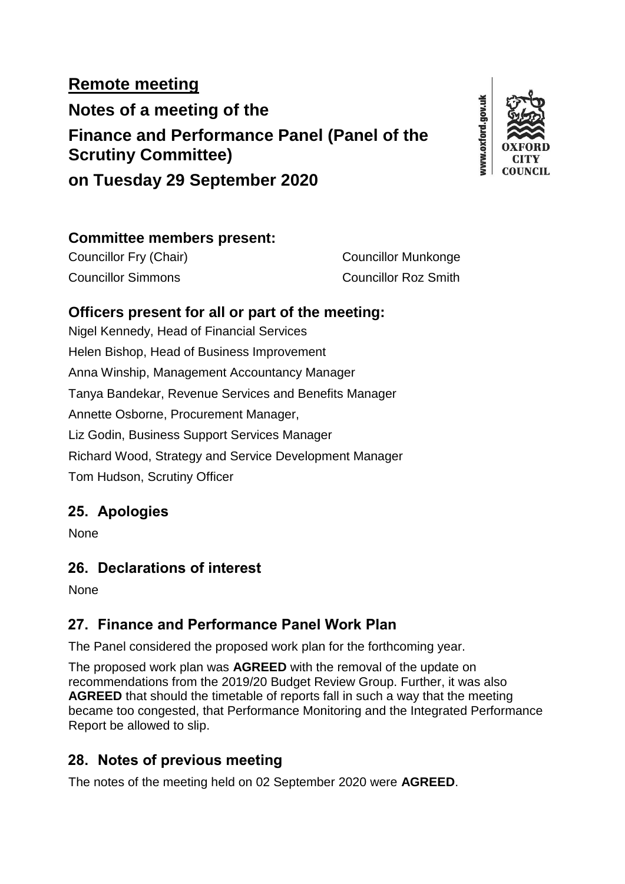# **Remote meeting Notes of a meeting of the Finance and Performance Panel (Panel of the Scrutiny Committee) on Tuesday 29 September 2020**



### **Committee members present:**

Councillor Fry (Chair) Councillor Munkonge Councillor Simmons Councillor Roz Smith

## **Officers present for all or part of the meeting:**

Nigel Kennedy, Head of Financial Services Helen Bishop, Head of Business Improvement Anna Winship, Management Accountancy Manager Tanya Bandekar, Revenue Services and Benefits Manager Annette Osborne, Procurement Manager, Liz Godin, Business Support Services Manager Richard Wood, Strategy and Service Development Manager Tom Hudson, Scrutiny Officer

# **25. Apologies**

None

# **26. Declarations of interest**

None

# **27. Finance and Performance Panel Work Plan**

The Panel considered the proposed work plan for the forthcoming year.

The proposed work plan was **AGREED** with the removal of the update on recommendations from the 2019/20 Budget Review Group. Further, it was also **AGREED** that should the timetable of reports fall in such a way that the meeting became too congested, that Performance Monitoring and the Integrated Performance Report be allowed to slip.

# **28. Notes of previous meeting**

The notes of the meeting held on 02 September 2020 were **AGREED**.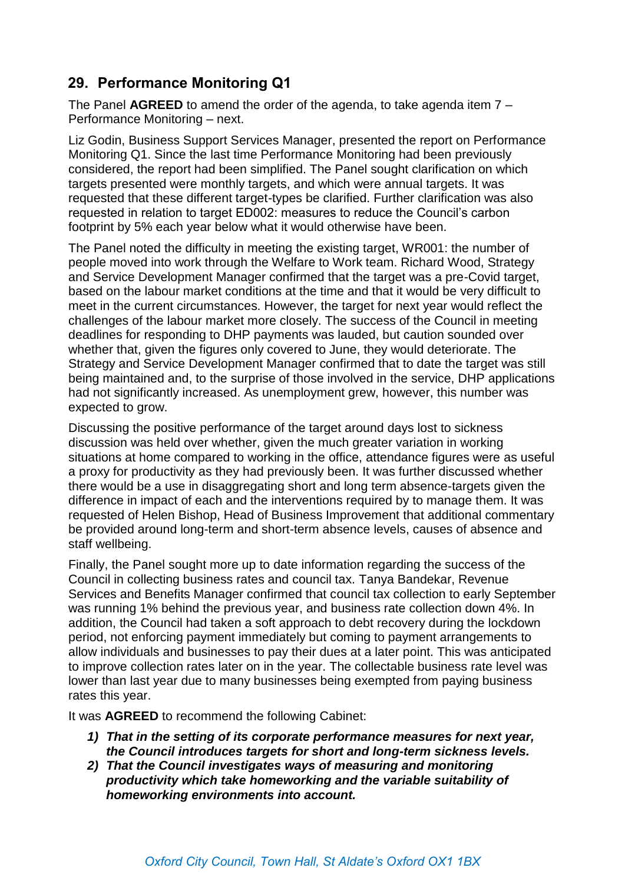# **29. Performance Monitoring Q1**

The Panel **AGREED** to amend the order of the agenda, to take agenda item 7 – Performance Monitoring – next.

Liz Godin, Business Support Services Manager, presented the report on Performance Monitoring Q1. Since the last time Performance Monitoring had been previously considered, the report had been simplified. The Panel sought clarification on which targets presented were monthly targets, and which were annual targets. It was requested that these different target-types be clarified. Further clarification was also requested in relation to target ED002: measures to reduce the Council's carbon footprint by 5% each year below what it would otherwise have been.

The Panel noted the difficulty in meeting the existing target, WR001: the number of people moved into work through the Welfare to Work team. Richard Wood, Strategy and Service Development Manager confirmed that the target was a pre-Covid target, based on the labour market conditions at the time and that it would be very difficult to meet in the current circumstances. However, the target for next year would reflect the challenges of the labour market more closely. The success of the Council in meeting deadlines for responding to DHP payments was lauded, but caution sounded over whether that, given the figures only covered to June, they would deteriorate. The Strategy and Service Development Manager confirmed that to date the target was still being maintained and, to the surprise of those involved in the service, DHP applications had not significantly increased. As unemployment grew, however, this number was expected to grow.

Discussing the positive performance of the target around days lost to sickness discussion was held over whether, given the much greater variation in working situations at home compared to working in the office, attendance figures were as useful a proxy for productivity as they had previously been. It was further discussed whether there would be a use in disaggregating short and long term absence-targets given the difference in impact of each and the interventions required by to manage them. It was requested of Helen Bishop, Head of Business Improvement that additional commentary be provided around long-term and short-term absence levels, causes of absence and staff wellbeing.

Finally, the Panel sought more up to date information regarding the success of the Council in collecting business rates and council tax. Tanya Bandekar, Revenue Services and Benefits Manager confirmed that council tax collection to early September was running 1% behind the previous year, and business rate collection down 4%. In addition, the Council had taken a soft approach to debt recovery during the lockdown period, not enforcing payment immediately but coming to payment arrangements to allow individuals and businesses to pay their dues at a later point. This was anticipated to improve collection rates later on in the year. The collectable business rate level was lower than last year due to many businesses being exempted from paying business rates this year.

It was **AGREED** to recommend the following Cabinet:

- *1) That in the setting of its corporate performance measures for next year, the Council introduces targets for short and long-term sickness levels.*
- *2) That the Council investigates ways of measuring and monitoring productivity which take homeworking and the variable suitability of homeworking environments into account.*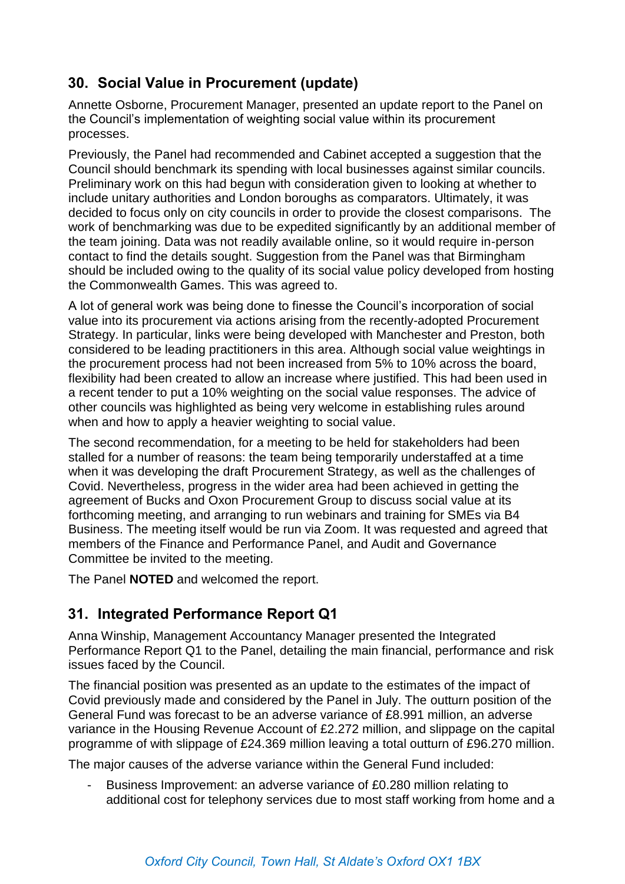# **30. Social Value in Procurement (update)**

Annette Osborne, Procurement Manager, presented an update report to the Panel on the Council's implementation of weighting social value within its procurement processes.

Previously, the Panel had recommended and Cabinet accepted a suggestion that the Council should benchmark its spending with local businesses against similar councils. Preliminary work on this had begun with consideration given to looking at whether to include unitary authorities and London boroughs as comparators. Ultimately, it was decided to focus only on city councils in order to provide the closest comparisons. The work of benchmarking was due to be expedited significantly by an additional member of the team joining. Data was not readily available online, so it would require in-person contact to find the details sought. Suggestion from the Panel was that Birmingham should be included owing to the quality of its social value policy developed from hosting the Commonwealth Games. This was agreed to.

A lot of general work was being done to finesse the Council's incorporation of social value into its procurement via actions arising from the recently-adopted Procurement Strategy. In particular, links were being developed with Manchester and Preston, both considered to be leading practitioners in this area. Although social value weightings in the procurement process had not been increased from 5% to 10% across the board, flexibility had been created to allow an increase where justified. This had been used in a recent tender to put a 10% weighting on the social value responses. The advice of other councils was highlighted as being very welcome in establishing rules around when and how to apply a heavier weighting to social value.

The second recommendation, for a meeting to be held for stakeholders had been stalled for a number of reasons: the team being temporarily understaffed at a time when it was developing the draft Procurement Strategy, as well as the challenges of Covid. Nevertheless, progress in the wider area had been achieved in getting the agreement of Bucks and Oxon Procurement Group to discuss social value at its forthcoming meeting, and arranging to run webinars and training for SMEs via B4 Business. The meeting itself would be run via Zoom. It was requested and agreed that members of the Finance and Performance Panel, and Audit and Governance Committee be invited to the meeting.

The Panel **NOTED** and welcomed the report.

## **31. Integrated Performance Report Q1**

Anna Winship, Management Accountancy Manager presented the Integrated Performance Report Q1 to the Panel, detailing the main financial, performance and risk issues faced by the Council.

The financial position was presented as an update to the estimates of the impact of Covid previously made and considered by the Panel in July. The outturn position of the General Fund was forecast to be an adverse variance of £8.991 million, an adverse variance in the Housing Revenue Account of £2.272 million, and slippage on the capital programme of with slippage of £24.369 million leaving a total outturn of £96.270 million.

The major causes of the adverse variance within the General Fund included:

Business Improvement: an adverse variance of £0.280 million relating to additional cost for telephony services due to most staff working from home and a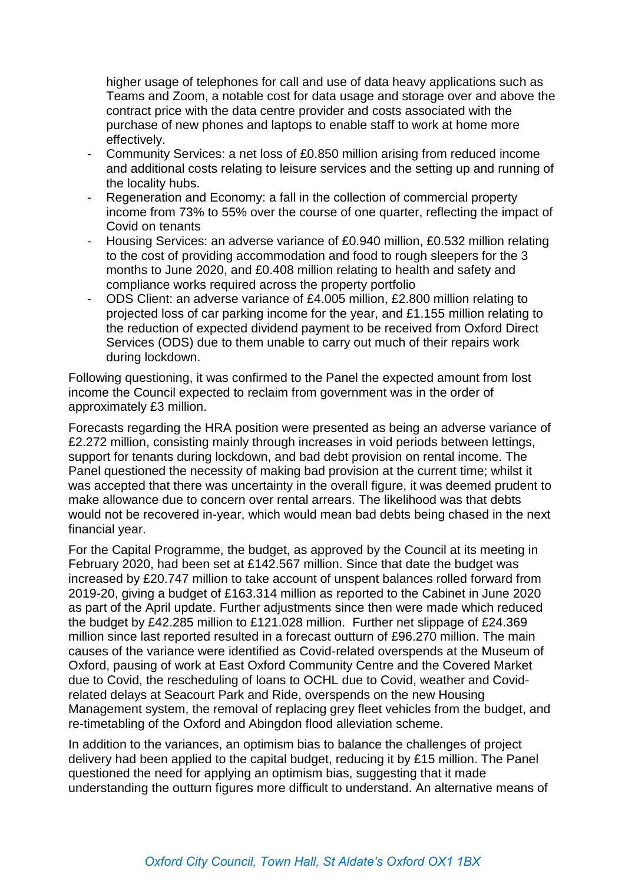higher usage of telephones for call and use of data heavy applications such as Teams and Zoom, a notable cost for data usage and storage over and above the contract price with the data centre provider and costs associated with the purchase of new phones and laptops to enable staff to work at home more effectively.

- Community Services: a net loss of £0.850 million arising from reduced income and additional costs relating to leisure services and the setting up and running of the locality hubs.
- Regeneration and Economy: a fall in the collection of commercial property income from 73% to 55% over the course of one quarter, reflecting the impact of Covid on tenants
- Housing Services: an adverse variance of £0.940 million, £0.532 million relating to the cost of providing accommodation and food to rough sleepers for the 3 months to June 2020, and £0.408 million relating to health and safety and compliance works required across the property portfolio
- ODS Client: an adverse variance of £4.005 million, £2.800 million relating to projected loss of car parking income for the year, and £1.155 million relating to the reduction of expected dividend payment to be received from Oxford Direct Services (ODS) due to them unable to carry out much of their repairs work during lockdown.

Following questioning, it was confirmed to the Panel the expected amount from lost income the Council expected to reclaim from government was in the order of approximately £3 million.

Forecasts regarding the HRA position were presented as being an adverse variance of £2.272 million, consisting mainly through increases in void periods between lettings, support for tenants during lockdown, and bad debt provision on rental income. The Panel questioned the necessity of making bad provision at the current time; whilst it was accepted that there was uncertainty in the overall figure, it was deemed prudent to make allowance due to concern over rental arrears. The likelihood was that debts would not be recovered in-year, which would mean bad debts being chased in the next financial year.

For the Capital Programme, the budget, as approved by the Council at its meeting in February 2020, had been set at £142.567 million. Since that date the budget was increased by £20.747 million to take account of unspent balances rolled forward from 2019-20, giving a budget of £163.314 million as reported to the Cabinet in June 2020 as part of the April update. Further adjustments since then were made which reduced the budget by £42.285 million to £121.028 million. Further net slippage of £24.369 million since last reported resulted in a forecast outturn of £96.270 million. The main causes of the variance were identified as Covid-related overspends at the Museum of Oxford, pausing of work at East Oxford Community Centre and the Covered Market due to Covid, the rescheduling of loans to OCHL due to Covid, weather and Covidrelated delays at Seacourt Park and Ride, overspends on the new Housing Management system, the removal of replacing grey fleet vehicles from the budget, and re-timetabling of the Oxford and Abingdon flood alleviation scheme.

In addition to the variances, an optimism bias to balance the challenges of project delivery had been applied to the capital budget, reducing it by £15 million. The Panel questioned the need for applying an optimism bias, suggesting that it made understanding the outturn figures more difficult to understand. An alternative means of